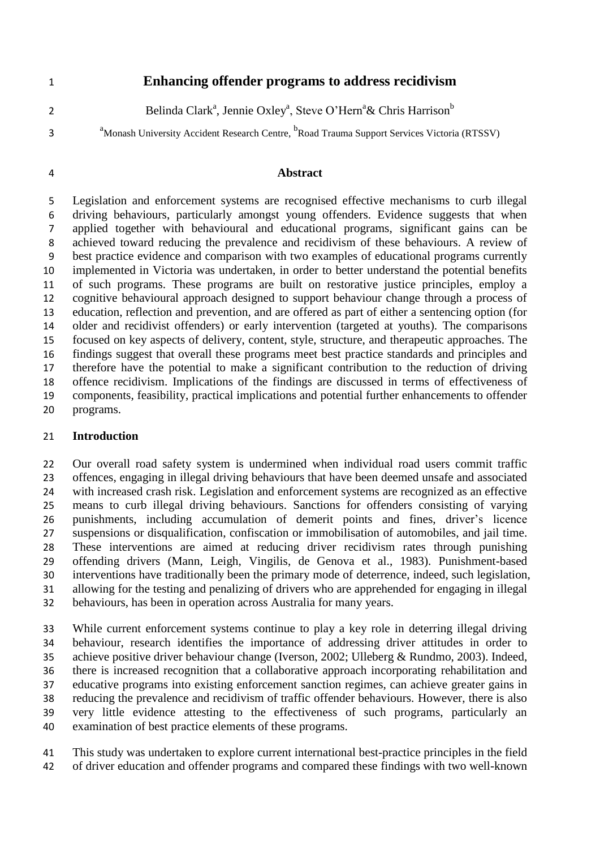## **Enhancing offender programs to address recidivism**

- Belinda Clark<sup>a</sup>, Jennie Oxley<sup>a</sup>, Steve O'Hern<sup>a</sup>& Chris Harrison<sup>b</sup>
- 

<sup>a</sup> Monash University Accident Research Centre, <sup>b</sup>Road Trauma Support Services Victoria (RTSSV)

#### **Abstract**

 Legislation and enforcement systems are recognised effective mechanisms to curb illegal driving behaviours, particularly amongst young offenders. Evidence suggests that when applied together with behavioural and educational programs, significant gains can be achieved toward reducing the prevalence and recidivism of these behaviours. A review of best practice evidence and comparison with two examples of educational programs currently implemented in Victoria was undertaken, in order to better understand the potential benefits of such programs. These programs are built on restorative justice principles, employ a cognitive behavioural approach designed to support behaviour change through a process of education, reflection and prevention, and are offered as part of either a sentencing option (for older and recidivist offenders) or early intervention (targeted at youths). The comparisons focused on key aspects of delivery, content, style, structure, and therapeutic approaches. The findings suggest that overall these programs meet best practice standards and principles and therefore have the potential to make a significant contribution to the reduction of driving offence recidivism. Implications of the findings are discussed in terms of effectiveness of components, feasibility, practical implications and potential further enhancements to offender programs.

## **Introduction**

 Our overall road safety system is undermined when individual road users commit traffic offences, engaging in illegal driving behaviours that have been deemed unsafe and associated with increased crash risk. Legislation and enforcement systems are recognized as an effective means to curb illegal driving behaviours. Sanctions for offenders consisting of varying punishments, including accumulation of demerit points and fines, driver's licence suspensions or disqualification, confiscation or immobilisation of automobiles, and jail time. These interventions are aimed at reducing driver recidivism rates through punishing offending drivers (Mann, Leigh, Vingilis, de Genova et al., 1983). Punishment-based interventions have traditionally been the primary mode of deterrence, indeed, such legislation, allowing for the testing and penalizing of drivers who are apprehended for engaging in illegal behaviours, has been in operation across Australia for many years.

 While current enforcement systems continue to play a key role in deterring illegal driving behaviour, research identifies the importance of addressing driver attitudes in order to achieve positive driver behaviour change (Iverson, 2002; Ulleberg & Rundmo, 2003). Indeed, there is increased recognition that a collaborative approach incorporating rehabilitation and educative programs into existing enforcement sanction regimes, can achieve greater gains in reducing the prevalence and recidivism of traffic offender behaviours. However, there is also very little evidence attesting to the effectiveness of such programs, particularly an examination of best practice elements of these programs.

 This study was undertaken to explore current international best-practice principles in the field of driver education and offender programs and compared these findings with two well-known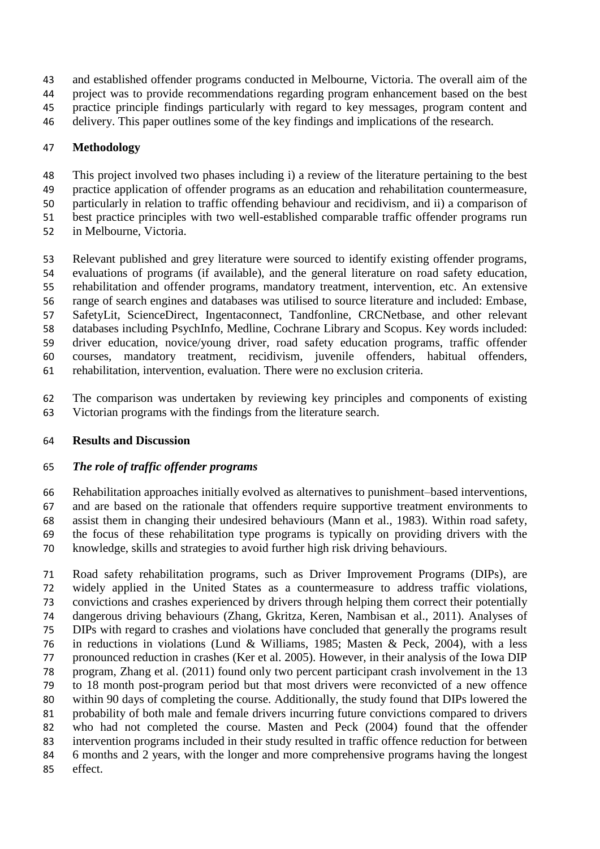- and established offender programs conducted in Melbourne, Victoria. The overall aim of the
- project was to provide recommendations regarding program enhancement based on the best
- practice principle findings particularly with regard to key messages, program content and
- delivery. This paper outlines some of the key findings and implications of the research.

# **Methodology**

- This project involved two phases including i) a review of the literature pertaining to the best
- practice application of offender programs as an education and rehabilitation countermeasure,
- particularly in relation to traffic offending behaviour and recidivism, and ii) a comparison of
- best practice principles with two well-established comparable traffic offender programs run
- in Melbourne, Victoria.
- Relevant published and grey literature were sourced to identify existing offender programs, evaluations of programs (if available), and the general literature on road safety education, rehabilitation and offender programs, mandatory treatment, intervention, etc. An extensive range of search engines and databases was utilised to source literature and included: Embase, SafetyLit, ScienceDirect, Ingentaconnect, Tandfonline, CRCNetbase, and other relevant databases including PsychInfo, Medline, Cochrane Library and Scopus. Key words included: driver education, novice/young driver, road safety education programs, traffic offender courses, mandatory treatment, recidivism, juvenile offenders, habitual offenders, rehabilitation, intervention, evaluation. There were no exclusion criteria.
- The comparison was undertaken by reviewing key principles and components of existing Victorian programs with the findings from the literature search.

# **Results and Discussion**

# *The role of traffic offender programs*

 Rehabilitation approaches initially evolved as alternatives to punishment–based interventions, and are based on the rationale that offenders require supportive treatment environments to assist them in changing their undesired behaviours (Mann et al., 1983). Within road safety, the focus of these rehabilitation type programs is typically on providing drivers with the knowledge, skills and strategies to avoid further high risk driving behaviours.

 Road safety rehabilitation programs, such as Driver Improvement Programs (DIPs), are widely applied in the United States as a countermeasure to address traffic violations, convictions and crashes experienced by drivers through helping them correct their potentially dangerous driving behaviours (Zhang, Gkritza, Keren, Nambisan et al., 2011). Analyses of DIPs with regard to crashes and violations have concluded that generally the programs result in reductions in violations (Lund & Williams, 1985; Masten & Peck, 2004), with a less pronounced reduction in crashes (Ker et al. 2005). However, in their analysis of the Iowa DIP program, Zhang et al. (2011) found only two percent participant crash involvement in the 13 to 18 month post-program period but that most drivers were reconvicted of a new offence within 90 days of completing the course. Additionally, the study found that DIPs lowered the probability of both male and female drivers incurring future convictions compared to drivers who had not completed the course. Masten and Peck (2004) found that the offender intervention programs included in their study resulted in traffic offence reduction for between 6 months and 2 years, with the longer and more comprehensive programs having the longest effect.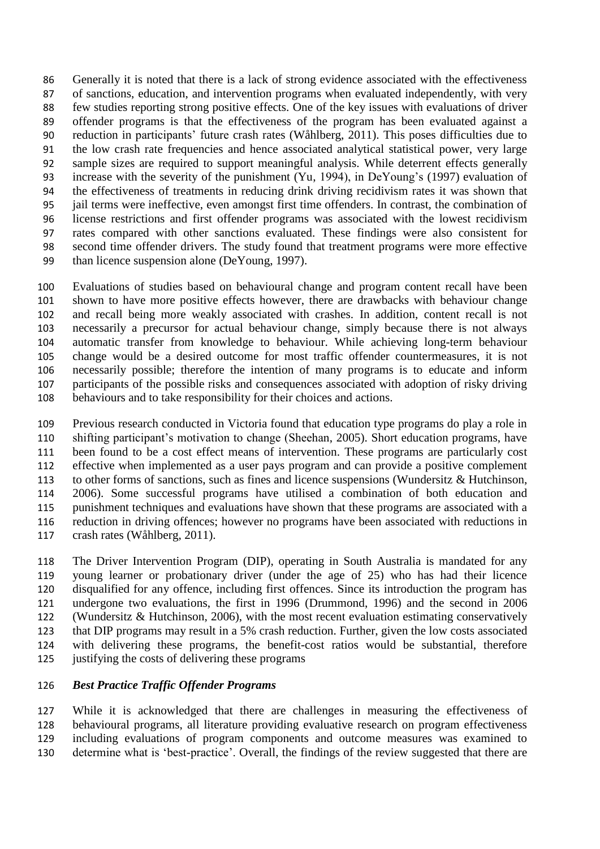Generally it is noted that there is a lack of strong evidence associated with the effectiveness of sanctions, education, and intervention programs when evaluated independently, with very few studies reporting strong positive effects. One of the key issues with evaluations of driver offender programs is that the effectiveness of the program has been evaluated against a reduction in participants' future crash rates (Wåhlberg, 2011). This poses difficulties due to the low crash rate frequencies and hence associated analytical statistical power, very large sample sizes are required to support meaningful analysis. While deterrent effects generally increase with the severity of the punishment (Yu, 1994), in DeYoung's (1997) evaluation of the effectiveness of treatments in reducing drink driving recidivism rates it was shown that jail terms were ineffective, even amongst first time offenders. In contrast, the combination of license restrictions and first offender programs was associated with the lowest recidivism rates compared with other sanctions evaluated. These findings were also consistent for second time offender drivers. The study found that treatment programs were more effective than licence suspension alone (DeYoung, 1997).

 Evaluations of studies based on behavioural change and program content recall have been shown to have more positive effects however, there are drawbacks with behaviour change and recall being more weakly associated with crashes. In addition, content recall is not necessarily a precursor for actual behaviour change, simply because there is not always automatic transfer from knowledge to behaviour. While achieving long-term behaviour change would be a desired outcome for most traffic offender countermeasures, it is not necessarily possible; therefore the intention of many programs is to educate and inform participants of the possible risks and consequences associated with adoption of risky driving behaviours and to take responsibility for their choices and actions.

 Previous research conducted in Victoria found that education type programs do play a role in shifting participant's motivation to change (Sheehan, 2005). Short education programs, have been found to be a cost effect means of intervention. These programs are particularly cost effective when implemented as a user pays program and can provide a positive complement to other forms of sanctions, such as fines and licence suspensions (Wundersitz & Hutchinson, 2006). Some successful programs have utilised a combination of both education and punishment techniques and evaluations have shown that these programs are associated with a reduction in driving offences; however no programs have been associated with reductions in crash rates (Wåhlberg, 2011).

 The Driver Intervention Program (DIP), operating in South Australia is mandated for any young learner or probationary driver (under the age of 25) who has had their licence disqualified for any offence, including first offences. Since its introduction the program has undergone two evaluations, the first in 1996 (Drummond, 1996) and the second in 2006 (Wundersitz & Hutchinson, 2006), with the most recent evaluation estimating conservatively that DIP programs may result in a 5% crash reduction. Further, given the low costs associated with delivering these programs, the benefit-cost ratios would be substantial, therefore justifying the costs of delivering these programs

## *Best Practice Traffic Offender Programs*

 While it is acknowledged that there are challenges in measuring the effectiveness of behavioural programs, all literature providing evaluative research on program effectiveness including evaluations of program components and outcome measures was examined to determine what is 'best-practice'. Overall, the findings of the review suggested that there are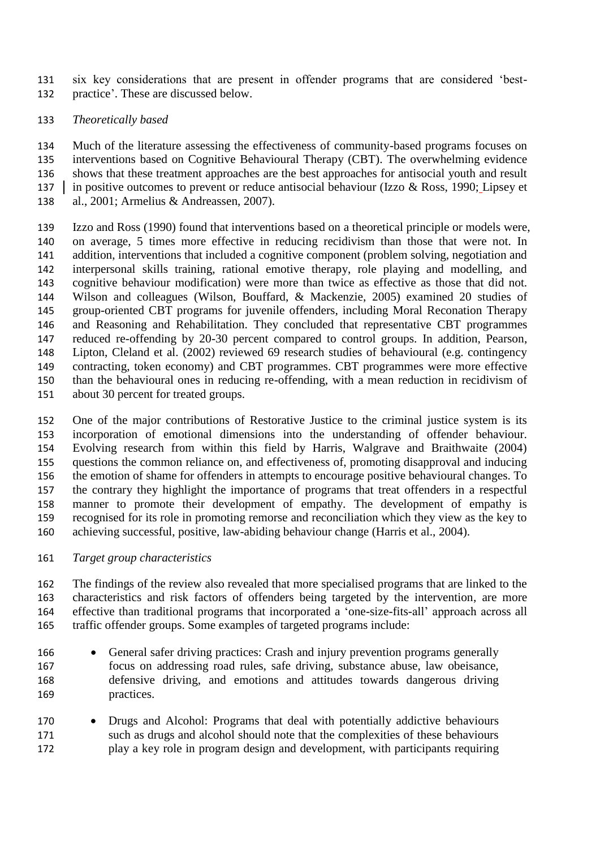six key considerations that are present in offender programs that are considered 'best-practice'. These are discussed below.

## *Theoretically based*

 Much of the literature assessing the effectiveness of community-based programs focuses on interventions based on Cognitive Behavioural Therapy (CBT). The overwhelming evidence shows that these treatment approaches are the best approaches for antisocial youth and result 137 in positive outcomes to prevent or reduce antisocial behaviour (Izzo & Ross, 1990; Lipsey et al., 2001; Armelius & Andreassen, 2007).

 Izzo and Ross (1990) found that interventions based on a theoretical principle or models were, on average, 5 times more effective in reducing recidivism than those that were not. In addition, interventions that included a cognitive component (problem solving, negotiation and interpersonal skills training, rational emotive therapy, role playing and modelling, and cognitive behaviour modification) were more than twice as effective as those that did not. Wilson and colleagues (Wilson, Bouffard, & Mackenzie, 2005) examined 20 studies of group-oriented CBT programs for juvenile offenders, including Moral Reconation Therapy and Reasoning and Rehabilitation. They concluded that representative CBT programmes reduced re-offending by 20-30 percent compared to control groups. In addition, Pearson, Lipton, Cleland et al. (2002) reviewed 69 research studies of behavioural (e.g. contingency contracting, token economy) and CBT programmes. CBT programmes were more effective than the behavioural ones in reducing re-offending, with a mean reduction in recidivism of about 30 percent for treated groups.

 One of the major contributions of Restorative Justice to the criminal justice system is its incorporation of emotional dimensions into the understanding of offender behaviour. Evolving research from within this field by Harris, Walgrave and Braithwaite (2004) questions the common reliance on, and effectiveness of, promoting disapproval and inducing the emotion of shame for offenders in attempts to encourage positive behavioural changes. To the contrary they highlight the importance of programs that treat offenders in a respectful manner to promote their development of empathy. The development of empathy is recognised for its role in promoting remorse and reconciliation which they view as the key to achieving successful, positive, law-abiding behaviour change (Harris et al., 2004).

## *Target group characteristics*

 The findings of the review also revealed that more specialised programs that are linked to the characteristics and risk factors of offenders being targeted by the intervention, are more effective than traditional programs that incorporated a 'one-size-fits-all' approach across all traffic offender groups. Some examples of targeted programs include:

- 166 General safer driving practices: Crash and injury prevention programs generally focus on addressing road rules, safe driving, substance abuse, law obeisance, defensive driving, and emotions and attitudes towards dangerous driving practices.
- 170 Drugs and Alcohol: Programs that deal with potentially addictive behaviours such as drugs and alcohol should note that the complexities of these behaviours play a key role in program design and development, with participants requiring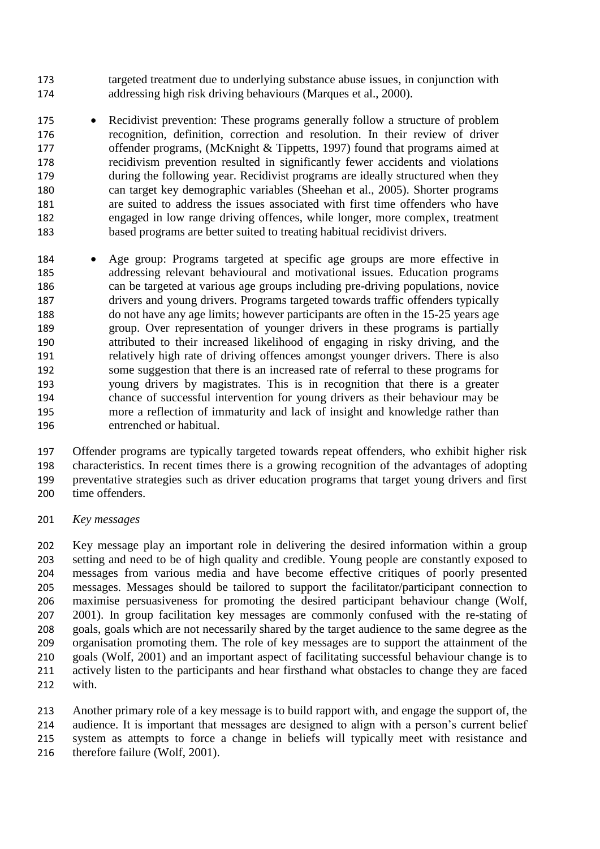- targeted treatment due to underlying substance abuse issues, in conjunction with addressing high risk driving behaviours (Marques et al., 2000).
- 175 Recidivist prevention: These programs generally follow a structure of problem recognition, definition, correction and resolution. In their review of driver offender programs, (McKnight & Tippetts, 1997) found that programs aimed at recidivism prevention resulted in significantly fewer accidents and violations during the following year. Recidivist programs are ideally structured when they can target key demographic variables (Sheehan et al., 2005). Shorter programs are suited to address the issues associated with first time offenders who have engaged in low range driving offences, while longer, more complex, treatment based programs are better suited to treating habitual recidivist drivers.
- Age group: Programs targeted at specific age groups are more effective in addressing relevant behavioural and motivational issues. Education programs can be targeted at various age groups including pre-driving populations, novice drivers and young drivers. Programs targeted towards traffic offenders typically do not have any age limits; however participants are often in the 15-25 years age group. Over representation of younger drivers in these programs is partially attributed to their increased likelihood of engaging in risky driving, and the relatively high rate of driving offences amongst younger drivers. There is also some suggestion that there is an increased rate of referral to these programs for young drivers by magistrates. This is in recognition that there is a greater chance of successful intervention for young drivers as their behaviour may be more a reflection of immaturity and lack of insight and knowledge rather than entrenched or habitual.

 Offender programs are typically targeted towards repeat offenders, who exhibit higher risk characteristics. In recent times there is a growing recognition of the advantages of adopting preventative strategies such as driver education programs that target young drivers and first time offenders.

*Key messages*

 Key message play an important role in delivering the desired information within a group setting and need to be of high quality and credible. Young people are constantly exposed to messages from various media and have become effective critiques of poorly presented messages. Messages should be tailored to support the facilitator/participant connection to maximise persuasiveness for promoting the desired participant behaviour change (Wolf, 2001). In group facilitation key messages are commonly confused with the re-stating of goals, goals which are not necessarily shared by the target audience to the same degree as the organisation promoting them. The role of key messages are to support the attainment of the goals (Wolf, 2001) and an important aspect of facilitating successful behaviour change is to actively listen to the participants and hear firsthand what obstacles to change they are faced with.

 Another primary role of a key message is to build rapport with, and engage the support of, the audience. It is important that messages are designed to align with a person's current belief system as attempts to force a change in beliefs will typically meet with resistance and 216 therefore failure (Wolf, 2001).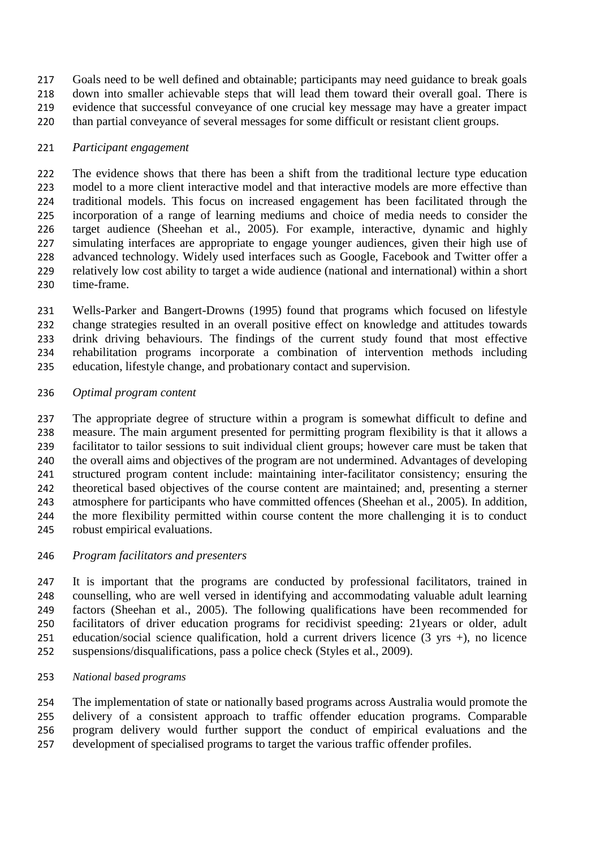Goals need to be well defined and obtainable; participants may need guidance to break goals down into smaller achievable steps that will lead them toward their overall goal. There is evidence that successful conveyance of one crucial key message may have a greater impact than partial conveyance of several messages for some difficult or resistant client groups.

## *Participant engagement*

 The evidence shows that there has been a shift from the traditional lecture type education model to a more client interactive model and that interactive models are more effective than traditional models. This focus on increased engagement has been facilitated through the incorporation of a range of learning mediums and choice of media needs to consider the target audience (Sheehan et al., 2005). For example, interactive, dynamic and highly simulating interfaces are appropriate to engage younger audiences, given their high use of advanced technology. Widely used interfaces such as Google, Facebook and Twitter offer a relatively low cost ability to target a wide audience (national and international) within a short time-frame.

 Wells-Parker and Bangert-Drowns (1995) found that programs which focused on lifestyle change strategies resulted in an overall positive effect on knowledge and attitudes towards drink driving behaviours. The findings of the current study found that most effective rehabilitation programs incorporate a combination of intervention methods including education, lifestyle change, and probationary contact and supervision.

## *Optimal program content*

 The appropriate degree of structure within a program is somewhat difficult to define and measure. The main argument presented for permitting program flexibility is that it allows a facilitator to tailor sessions to suit individual client groups; however care must be taken that the overall aims and objectives of the program are not undermined. Advantages of developing structured program content include: maintaining inter-facilitator consistency; ensuring the theoretical based objectives of the course content are maintained; and, presenting a sterner atmosphere for participants who have committed offences (Sheehan et al., 2005). In addition, the more flexibility permitted within course content the more challenging it is to conduct robust empirical evaluations.

## *Program facilitators and presenters*

 It is important that the programs are conducted by professional facilitators, trained in counselling, who are well versed in identifying and accommodating valuable adult learning factors (Sheehan et al., 2005). The following qualifications have been recommended for facilitators of driver education programs for recidivist speeding: 21years or older, adult education/social science qualification, hold a current drivers licence (3 yrs +), no licence suspensions/disqualifications, pass a police check (Styles et al., 2009).

*National based programs*

 The implementation of state or nationally based programs across Australia would promote the delivery of a consistent approach to traffic offender education programs. Comparable program delivery would further support the conduct of empirical evaluations and the development of specialised programs to target the various traffic offender profiles.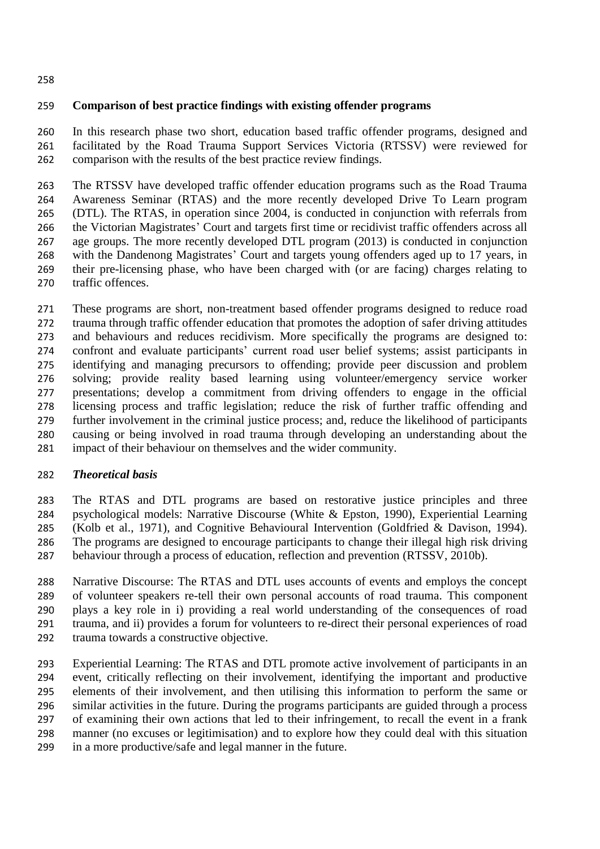#### 

#### **Comparison of best practice findings with existing offender programs**

 In this research phase two short, education based traffic offender programs, designed and facilitated by the Road Trauma Support Services Victoria (RTSSV) were reviewed for comparison with the results of the best practice review findings.

 The RTSSV have developed traffic offender education programs such as the Road Trauma Awareness Seminar (RTAS) and the more recently developed Drive To Learn program (DTL). The RTAS, in operation since 2004, is conducted in conjunction with referrals from the Victorian Magistrates' Court and targets first time or recidivist traffic offenders across all age groups. The more recently developed DTL program (2013) is conducted in conjunction with the Dandenong Magistrates' Court and targets young offenders aged up to 17 years, in their pre-licensing phase, who have been charged with (or are facing) charges relating to traffic offences.

 These programs are short, non-treatment based offender programs designed to reduce road trauma through traffic offender education that promotes the adoption of safer driving attitudes and behaviours and reduces recidivism. More specifically the programs are designed to: confront and evaluate participants' current road user belief systems; assist participants in identifying and managing precursors to offending; provide peer discussion and problem solving; provide reality based learning using volunteer/emergency service worker presentations; develop a commitment from driving offenders to engage in the official licensing process and traffic legislation; reduce the risk of further traffic offending and further involvement in the criminal justice process; and, reduce the likelihood of participants causing or being involved in road trauma through developing an understanding about the impact of their behaviour on themselves and the wider community.

## *Theoretical basis*

 The RTAS and DTL programs are based on restorative justice principles and three psychological models: Narrative Discourse (White & Epston, 1990), Experiential Learning (Kolb et al., 1971), and Cognitive Behavioural Intervention (Goldfried & Davison, 1994). The programs are designed to encourage participants to change their illegal high risk driving behaviour through a process of education, reflection and prevention (RTSSV, 2010b).

 Narrative Discourse: The RTAS and DTL uses accounts of events and employs the concept of volunteer speakers re-tell their own personal accounts of road trauma. This component plays a key role in i) providing a real world understanding of the consequences of road trauma, and ii) provides a forum for volunteers to re-direct their personal experiences of road trauma towards a constructive objective.

 Experiential Learning: The RTAS and DTL promote active involvement of participants in an event, critically reflecting on their involvement, identifying the important and productive elements of their involvement, and then utilising this information to perform the same or similar activities in the future. During the programs participants are guided through a process of examining their own actions that led to their infringement, to recall the event in a frank manner (no excuses or legitimisation) and to explore how they could deal with this situation in a more productive/safe and legal manner in the future.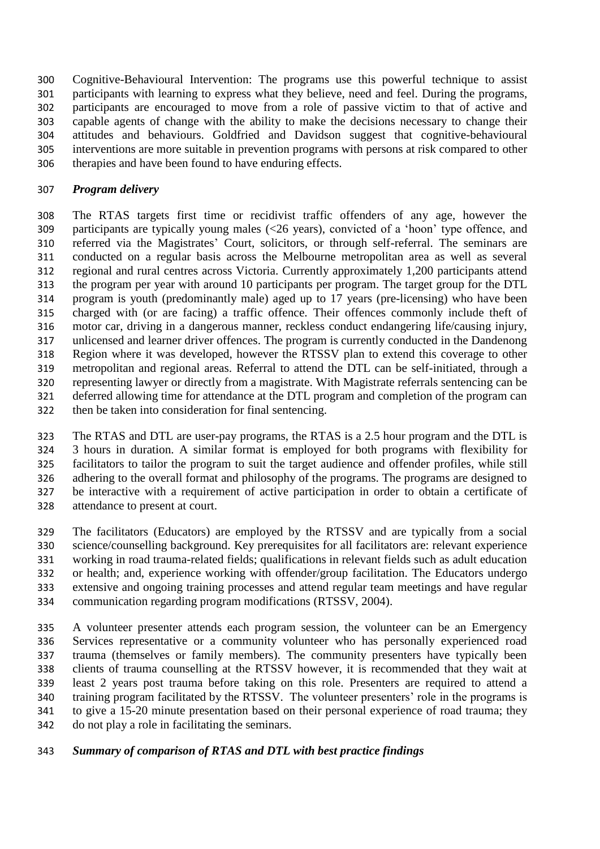Cognitive-Behavioural Intervention: The programs use this powerful technique to assist participants with learning to express what they believe, need and feel. During the programs, participants are encouraged to move from a role of passive victim to that of active and capable agents of change with the ability to make the decisions necessary to change their attitudes and behaviours. Goldfried and Davidson suggest that cognitive-behavioural interventions are more suitable in prevention programs with persons at risk compared to other therapies and have been found to have enduring effects.

## *Program delivery*

 The RTAS targets first time or recidivist traffic offenders of any age, however the participants are typically young males (<26 years), convicted of a 'hoon' type offence, and referred via the Magistrates' Court, solicitors, or through self-referral. The seminars are conducted on a regular basis across the Melbourne metropolitan area as well as several regional and rural centres across Victoria. Currently approximately 1,200 participants attend the program per year with around 10 participants per program. The target group for the DTL program is youth (predominantly male) aged up to 17 years (pre-licensing) who have been charged with (or are facing) a traffic offence. Their offences commonly include theft of motor car, driving in a dangerous manner, reckless conduct endangering life/causing injury, unlicensed and learner driver offences. The program is currently conducted in the Dandenong Region where it was developed, however the RTSSV plan to extend this coverage to other metropolitan and regional areas. Referral to attend the DTL can be self-initiated, through a representing lawyer or directly from a magistrate. With Magistrate referrals sentencing can be deferred allowing time for attendance at the DTL program and completion of the program can then be taken into consideration for final sentencing.

 The RTAS and DTL are user-pay programs, the RTAS is a 2.5 hour program and the DTL is 3 hours in duration. A similar format is employed for both programs with flexibility for facilitators to tailor the program to suit the target audience and offender profiles, while still adhering to the overall format and philosophy of the programs. The programs are designed to be interactive with a requirement of active participation in order to obtain a certificate of attendance to present at court.

 The facilitators (Educators) are employed by the RTSSV and are typically from a social science/counselling background. Key prerequisites for all facilitators are: relevant experience working in road trauma-related fields; qualifications in relevant fields such as adult education or health; and, experience working with offender/group facilitation. The Educators undergo extensive and ongoing training processes and attend regular team meetings and have regular communication regarding program modifications (RTSSV, 2004).

 A volunteer presenter attends each program session, the volunteer can be an Emergency Services representative or a community volunteer who has personally experienced road trauma (themselves or family members). The community presenters have typically been clients of trauma counselling at the RTSSV however, it is recommended that they wait at least 2 years post trauma before taking on this role. Presenters are required to attend a training program facilitated by the RTSSV. The volunteer presenters' role in the programs is to give a 15-20 minute presentation based on their personal experience of road trauma; they do not play a role in facilitating the seminars.

# *Summary of comparison of RTAS and DTL with best practice findings*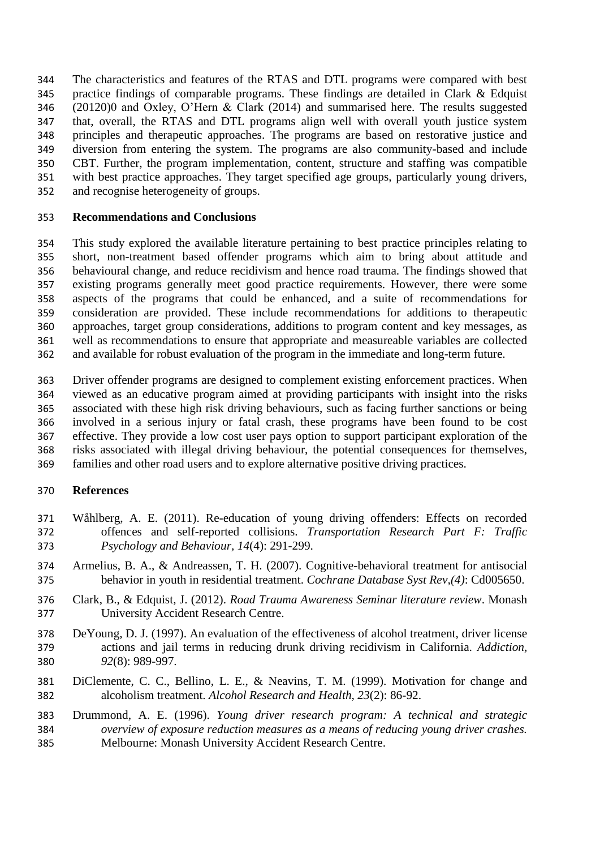The characteristics and features of the RTAS and DTL programs were compared with best practice findings of comparable programs. These findings are detailed in Clark & Edquist (20120)0 and Oxley, O'Hern & Clark (2014) and summarised here. The results suggested that, overall, the RTAS and DTL programs align well with overall youth justice system principles and therapeutic approaches. The programs are based on restorative justice and diversion from entering the system. The programs are also community-based and include CBT. Further, the program implementation, content, structure and staffing was compatible with best practice approaches. They target specified age groups, particularly young drivers, and recognise heterogeneity of groups.

#### **Recommendations and Conclusions**

 This study explored the available literature pertaining to best practice principles relating to short, non-treatment based offender programs which aim to bring about attitude and behavioural change, and reduce recidivism and hence road trauma. The findings showed that existing programs generally meet good practice requirements. However, there were some aspects of the programs that could be enhanced, and a suite of recommendations for consideration are provided. These include recommendations for additions to therapeutic approaches, target group considerations, additions to program content and key messages, as well as recommendations to ensure that appropriate and measureable variables are collected and available for robust evaluation of the program in the immediate and long-term future.

 Driver offender programs are designed to complement existing enforcement practices. When viewed as an educative program aimed at providing participants with insight into the risks associated with these high risk driving behaviours, such as facing further sanctions or being involved in a serious injury or fatal crash, these programs have been found to be cost effective. They provide a low cost user pays option to support participant exploration of the risks associated with illegal driving behaviour, the potential consequences for themselves, families and other road users and to explore alternative positive driving practices.

#### **References**

- Wåhlberg, A. E. (2011). Re-education of young driving offenders: Effects on recorded offences and self-reported collisions. *Transportation Research Part F: Traffic Psychology and Behaviour, 14*(4): 291-299.
- Armelius, B. A., & Andreassen, T. H. (2007). Cognitive-behavioral treatment for antisocial behavior in youth in residential treatment. *Cochrane Database Syst Rev,(4)*: Cd005650.
- Clark, B., & Edquist, J. (2012). *Road Trauma Awareness Seminar literature review*. Monash University Accident Research Centre.
- DeYoung, D. J. (1997). An evaluation of the effectiveness of alcohol treatment, driver license actions and jail terms in reducing drunk driving recidivism in California. *Addiction, 92*(8): 989-997.
- DiClemente, C. C., Bellino, L. E., & Neavins, T. M. (1999). Motivation for change and alcoholism treatment. *Alcohol Research and Health, 23*(2): 86-92.
- Drummond, A. E. (1996). *Young driver research program: A technical and strategic overview of exposure reduction measures as a means of reducing young driver crashes.* Melbourne: Monash University Accident Research Centre.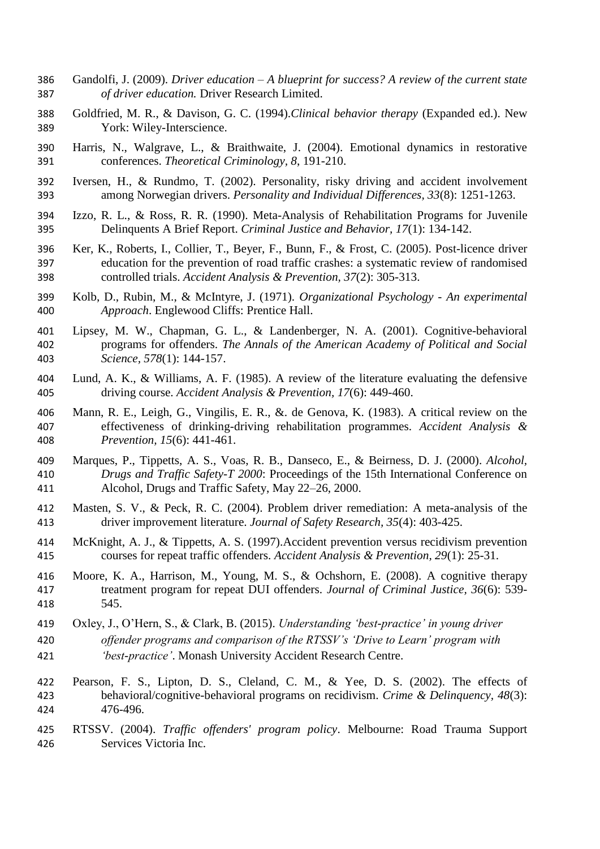- Gandolfi, J. (2009). *Driver education – A blueprint for success? A review of the current state of driver education.* Driver Research Limited.
- Goldfried, M. R., & Davison, G. C. (1994).*Clinical behavior therapy* (Expanded ed.). New York: Wiley-Interscience.
- Harris, N., Walgrave, L., & Braithwaite, J. (2004). Emotional dynamics in restorative conferences. *Theoretical Criminology, 8*, 191-210.
- Iversen, H., & Rundmo, T. (2002). Personality, risky driving and accident involvement among Norwegian drivers. *Personality and Individual Differences, 33*(8): 1251-1263.
- Izzo, R. L., & Ross, R. R. (1990). Meta-Analysis of Rehabilitation Programs for Juvenile Delinquents A Brief Report. *Criminal Justice and Behavior, 17*(1): 134-142.
- Ker, K., Roberts, I., Collier, T., Beyer, F., Bunn, F., & Frost, C. (2005). Post-licence driver education for the prevention of road traffic crashes: a systematic review of randomised controlled trials. *Accident Analysis & Prevention, 37*(2): 305-313.
- Kolb, D., Rubin, M., & McIntyre, J. (1971). *Organizational Psychology - An experimental Approach*. Englewood Cliffs: Prentice Hall.
- Lipsey, M. W., Chapman, G. L., & Landenberger, N. A. (2001). Cognitive-behavioral programs for offenders. *The Annals of the American Academy of Political and Social Science, 578*(1): 144-157.
- Lund, A. K., & Williams, A. F. (1985). A review of the literature evaluating the defensive driving course. *Accident Analysis & Prevention, 17*(6): 449-460.
- Mann, R. E., Leigh, G., Vingilis, E. R., &. de Genova, K. (1983). A critical review on the effectiveness of drinking-driving rehabilitation programmes. *Accident Analysis & Prevention, 15*(6): 441-461.
- Marques, P., Tippetts, A. S., Voas, R. B., Danseco, E., & Beirness, D. J. (2000). *Alcohol, Drugs and Traffic Safety-T 2000*: Proceedings of the 15th International Conference on Alcohol, Drugs and Traffic Safety, May 22–26, 2000.
- Masten, S. V., & Peck, R. C. (2004). Problem driver remediation: A meta-analysis of the driver improvement literature. *Journal of Safety Research, 35*(4): 403-425.
- McKnight, A. J., & Tippetts, A. S. (1997).Accident prevention versus recidivism prevention courses for repeat traffic offenders. *Accident Analysis & Prevention, 29*(1): 25-31.
- Moore, K. A., Harrison, M., Young, M. S., & Ochshorn, E. (2008). A cognitive therapy treatment program for repeat DUI offenders. *Journal of Criminal Justice, 36*(6): 539- 545.
- Oxley, J., O'Hern, S., & Clark, B. (2015). *Understanding 'best-practice' in young driver*
- *offender programs and comparison of the RTSSV's 'Drive to Learn' program with*
- *'best-practice'*. Monash University Accident Research Centre.
- Pearson, F. S., Lipton, D. S., Cleland, C. M., & Yee, D. S. (2002). The effects of behavioral/cognitive-behavioral programs on recidivism. *Crime & Delinquency, 48*(3): 476-496.
- RTSSV. (2004). *Traffic offenders' program policy*. Melbourne: Road Trauma Support Services Victoria Inc.